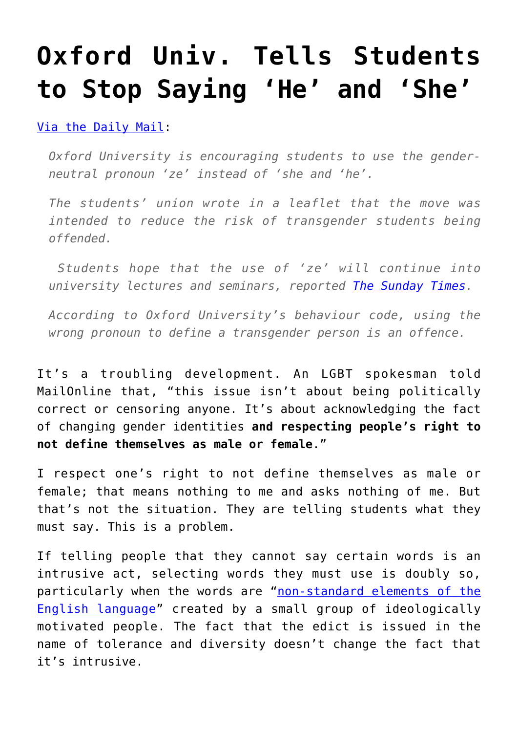## **[Oxford Univ. Tells Students](https://intellectualtakeout.org/2016/12/oxford-univ-tells-students-to-stop-saying-he-and-she/) [to Stop Saying 'He' and 'She'](https://intellectualtakeout.org/2016/12/oxford-univ-tells-students-to-stop-saying-he-and-she/)**

[Via the Daily Mail:](http://www.dailymail.co.uk/news/article-4021894/Oxford-University-says-students-use-gender-neutral-ze-place-he.html)

*Oxford University is encouraging students to use the genderneutral pronoun 'ze' instead of 'she and 'he'.*

*The students' union wrote in a leaflet that the move was intended to reduce the risk of transgender students being offended.*

 *Students hope that the use of 'ze' will continue into university lectures and seminars, reported [The Sunday Times.](http://www.thetimes.co.uk/edition/news/he-and-she-are-now-ze-at-oxford-3kb33jtp8)*

*According to Oxford University's behaviour code, using the wrong pronoun to define a transgender person is an offence.* 

It's a troubling development. An LGBT spokesman told MailOnline that, "this issue isn't about being politically correct or censoring anyone. It's about acknowledging the fact of changing gender identities **and respecting people's right to not define themselves as male or female**."

I respect one's right to not define themselves as male or female; that means nothing to me and asks nothing of me. But that's not the situation. They are telling students what they must say. This is a problem.

If telling people that they cannot say certain words is an intrusive act, selecting words they must use is doubly so, particularly when the words are "[non-standard elements of the](https://www.intellectualtakeout.org/blog/scared-prof-blasts-political-correctness) [English language"](https://www.intellectualtakeout.org/blog/scared-prof-blasts-political-correctness) created by a small group of ideologically motivated people. The fact that the edict is issued in the name of tolerance and diversity doesn't change the fact that it's intrusive.